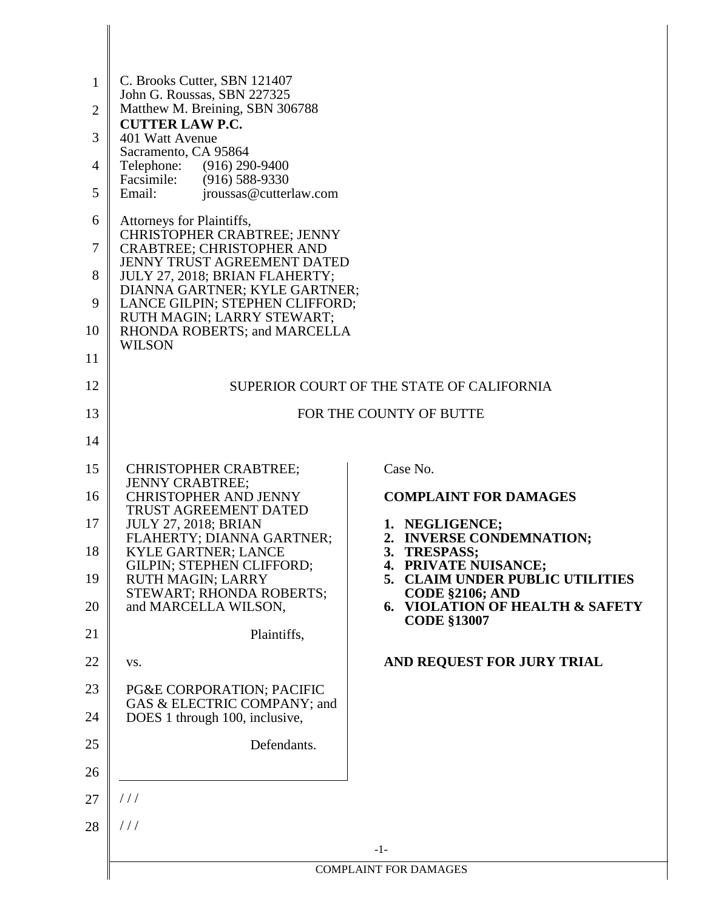| $\mathbf{1}$<br>$\overline{2}$<br>3<br>4<br>5<br>6<br>7<br>8<br>9<br>10<br>11<br>12<br>13<br>14 | C. Brooks Cutter, SBN 121407<br>John G. Roussas, SBN 227325<br>Matthew M. Breining, SBN 306788<br><b>CUTTER LAW P.C.</b><br>401 Watt Avenue<br>Sacramento, CA 95864<br>Telephone:<br>$(916)$ 290-9400<br>Facsimile:<br>$(916) 588 - 9330$<br>Email:<br>jroussas@cutterlaw.com<br>Attorneys for Plaintiffs,<br><b>CHRISTOPHER CRABTREE; JENNY</b><br><b>CRABTREE; CHRISTOPHER AND</b><br><b>JENNY TRUST AGREEMENT DATED</b><br>JULY 27, 2018; BRIAN FLAHERTY;<br>DIANNA GARTNER; KYLE GARTNER;<br>LANCE GILPIN; STEPHEN CLIFFORD;<br>RUTH MAGIN; LARRY STEWART;<br>RHONDA ROBERTS; and MARCELLA<br><b>WILSON</b> | SUPERIOR COURT OF THE STATE OF CALIFORNIA<br>FOR THE COUNTY OF BUTTE                                                                                                                                                                                                                                                                            |
|-------------------------------------------------------------------------------------------------|-----------------------------------------------------------------------------------------------------------------------------------------------------------------------------------------------------------------------------------------------------------------------------------------------------------------------------------------------------------------------------------------------------------------------------------------------------------------------------------------------------------------------------------------------------------------------------------------------------------------|-------------------------------------------------------------------------------------------------------------------------------------------------------------------------------------------------------------------------------------------------------------------------------------------------------------------------------------------------|
| 15<br>16<br>17<br>18<br>19<br>20<br>21<br>22<br>23<br>24<br>25<br>26<br>27<br>28                | <b>CHRISTOPHER CRABTREE;</b><br><b>JENNY CRABTREE;</b><br><b>CHRISTOPHER AND JENNY</b><br><b>TRUST AGREEMENT DATED</b><br><b>JULY 27, 2018; BRIAN</b><br>FLAHERTY; DIANNA GARTNER;<br><b>KYLE GARTNER; LANCE</b><br><b>GILPIN: STEPHEN CLIFFORD;</b><br><b>RUTH MAGIN; LARRY</b><br>STEWART; RHONDA ROBERTS;<br>and MARCELLA WILSON,<br>Plaintiffs,<br>VS.<br>PG&E CORPORATION; PACIFIC<br>GAS & ELECTRIC COMPANY; and<br>DOES 1 through 100, inclusive,<br>Defendants.<br>//<br>111                                                                                                                            | Case No.<br><b>COMPLAINT FOR DAMAGES</b><br>1. NEGLIGENCE;<br>2. INVERSE CONDEMNATION;<br>3.<br><b>TRESPASS;</b><br><b>PRIVATE NUISANCE;</b><br>4.<br>5. CLAIM UNDER PUBLIC UTILITIES<br><b>CODE §2106; AND</b><br>6. VIOLATION OF HEALTH & SAFETY<br><b>CODE §13007</b><br>AND REQUEST FOR JURY TRIAL<br>$-1-$<br><b>COMPLAINT FOR DAMAGES</b> |

I ∥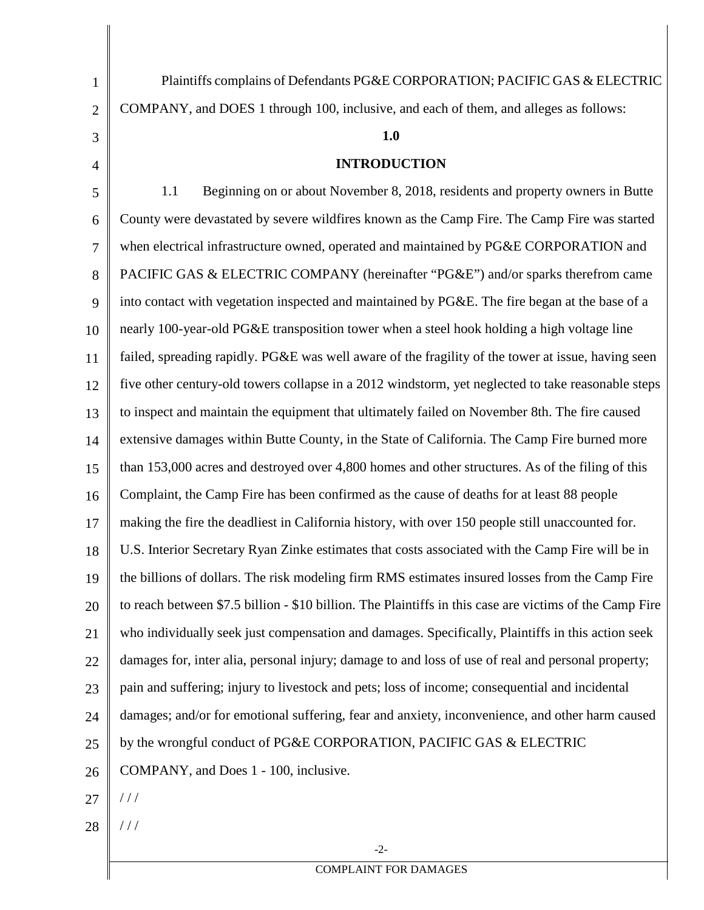| $\mathbf{1}$   | Plaintiffs complains of Defendants PG&E CORPORATION; PACIFIC GAS & ELECTRIC                             |
|----------------|---------------------------------------------------------------------------------------------------------|
| $\mathbf{2}$   | COMPANY, and DOES 1 through 100, inclusive, and each of them, and alleges as follows:                   |
| 3              | 1.0                                                                                                     |
| $\overline{4}$ | <b>INTRODUCTION</b>                                                                                     |
| 5              | Beginning on or about November 8, 2018, residents and property owners in Butte<br>1.1                   |
| 6              | County were devastated by severe wildfires known as the Camp Fire. The Camp Fire was started            |
| $\overline{7}$ | when electrical infrastructure owned, operated and maintained by PG&E CORPORATION and                   |
| 8              | PACIFIC GAS & ELECTRIC COMPANY (hereinafter "PG&E") and/or sparks therefrom came                        |
| 9              | into contact with vegetation inspected and maintained by PG&E. The fire began at the base of a          |
| 10             | nearly 100-year-old PG&E transposition tower when a steel hook holding a high voltage line              |
| 11             | failed, spreading rapidly. PG&E was well aware of the fragility of the tower at issue, having seen      |
| 12             | five other century-old towers collapse in a 2012 windstorm, yet neglected to take reasonable steps      |
| 13             | to inspect and maintain the equipment that ultimately failed on November 8th. The fire caused           |
| 14             | extensive damages within Butte County, in the State of California. The Camp Fire burned more            |
| 15             | than 153,000 acres and destroyed over 4,800 homes and other structures. As of the filing of this        |
| 16             | Complaint, the Camp Fire has been confirmed as the cause of deaths for at least 88 people               |
| 17             | making the fire the deadliest in California history, with over 150 people still unaccounted for.        |
| 18             | U.S. Interior Secretary Ryan Zinke estimates that costs associated with the Camp Fire will be in        |
| 19             | the billions of dollars. The risk modeling firm RMS estimates insured losses from the Camp Fire         |
| 20             | to reach between \$7.5 billion - \$10 billion. The Plaintiffs in this case are victims of the Camp Fire |
| 21             | who individually seek just compensation and damages. Specifically, Plaintiffs in this action seek       |
| 22             | damages for, inter alia, personal injury; damage to and loss of use of real and personal property;      |
| 23             | pain and suffering; injury to livestock and pets; loss of income; consequential and incidental          |
| 24             | damages; and/or for emotional suffering, fear and anxiety, inconvenience, and other harm caused         |
| 25             | by the wrongful conduct of PG&E CORPORATION, PACIFIC GAS & ELECTRIC                                     |
| 26             | COMPANY, and Does 1 - 100, inclusive.                                                                   |
| 27             | $\frac{1}{2}$                                                                                           |
| 28             | //                                                                                                      |

COMPLAINT FOR DAMAGES

-2-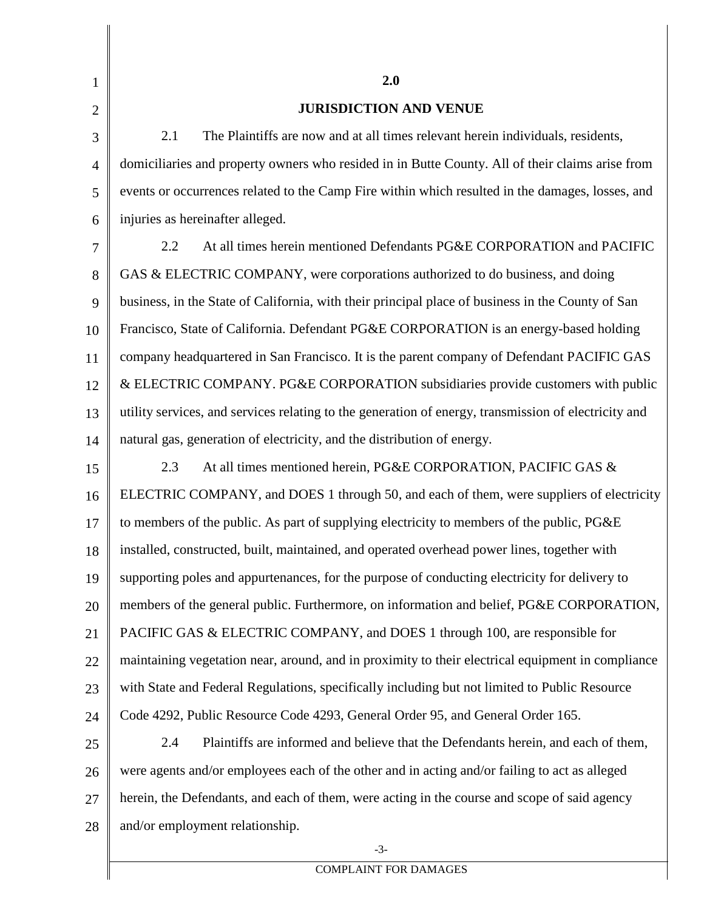| $\mathbf{1}$   | 2.0                                                                                                  |  |
|----------------|------------------------------------------------------------------------------------------------------|--|
| $\overline{2}$ | <b>JURISDICTION AND VENUE</b>                                                                        |  |
| 3              | The Plaintiffs are now and at all times relevant herein individuals, residents,<br>2.1               |  |
| $\overline{4}$ | domiciliaries and property owners who resided in in Butte County. All of their claims arise from     |  |
| 5              | events or occurrences related to the Camp Fire within which resulted in the damages, losses, and     |  |
| 6              | injuries as hereinafter alleged.                                                                     |  |
| 7              | At all times herein mentioned Defendants PG&E CORPORATION and PACIFIC<br>2.2                         |  |
| 8              | GAS & ELECTRIC COMPANY, were corporations authorized to do business, and doing                       |  |
| 9              | business, in the State of California, with their principal place of business in the County of San    |  |
| 10             | Francisco, State of California. Defendant PG&E CORPORATION is an energy-based holding                |  |
| 11             | company headquartered in San Francisco. It is the parent company of Defendant PACIFIC GAS            |  |
| 12             | & ELECTRIC COMPANY. PG&E CORPORATION subsidiaries provide customers with public                      |  |
| 13             | utility services, and services relating to the generation of energy, transmission of electricity and |  |
| 14             | natural gas, generation of electricity, and the distribution of energy.                              |  |
| 15             | At all times mentioned herein, PG&E CORPORATION, PACIFIC GAS &<br>2.3                                |  |
| 16             | ELECTRIC COMPANY, and DOES 1 through 50, and each of them, were suppliers of electricity             |  |
| 17             | to members of the public. As part of supplying electricity to members of the public, PG&E            |  |
| 18             | installed, constructed, built, maintained, and operated overhead power lines, together with          |  |
| 19             | supporting poles and appurtenances, for the purpose of conducting electricity for delivery to        |  |
| 20             | members of the general public. Furthermore, on information and belief, PG&E CORPORATION,             |  |
| 21             | PACIFIC GAS & ELECTRIC COMPANY, and DOES 1 through 100, are responsible for                          |  |
| 22             | maintaining vegetation near, around, and in proximity to their electrical equipment in compliance    |  |
| 23             | with State and Federal Regulations, specifically including but not limited to Public Resource        |  |
| 24             | Code 4292, Public Resource Code 4293, General Order 95, and General Order 165.                       |  |
| 25             | Plaintiffs are informed and believe that the Defendants herein, and each of them,<br>2.4             |  |
| 26             | were agents and/or employees each of the other and in acting and/or failing to act as alleged        |  |
| 27             | herein, the Defendants, and each of them, were acting in the course and scope of said agency         |  |
| 28             | and/or employment relationship.                                                                      |  |
|                | $-3-$                                                                                                |  |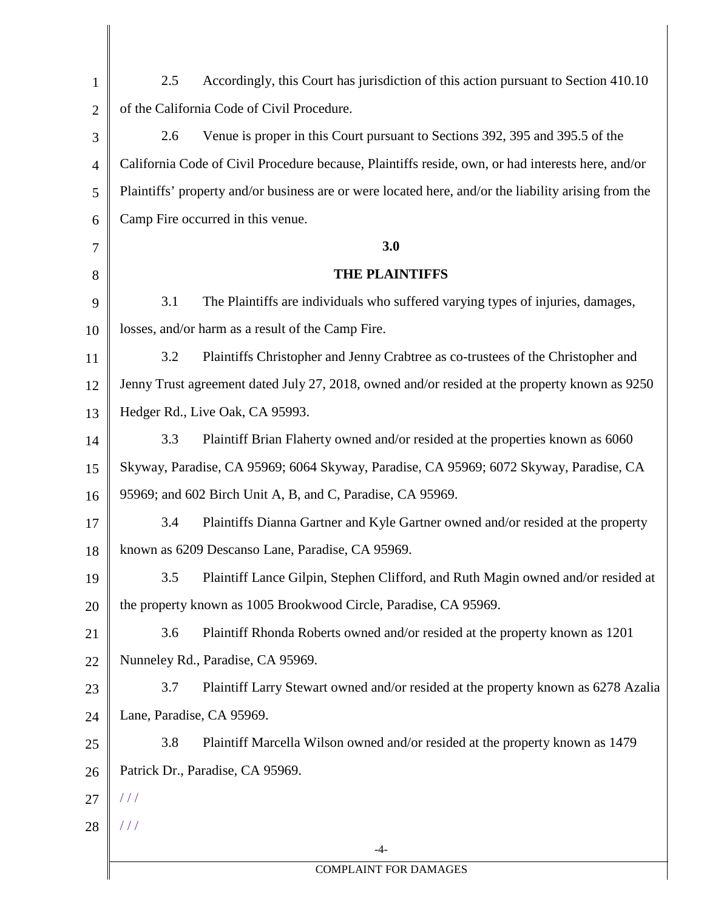| $\mathbf{1}$   | Accordingly, this Court has jurisdiction of this action pursuant to Section 410.10<br>2.5            |
|----------------|------------------------------------------------------------------------------------------------------|
| $\overline{2}$ | of the California Code of Civil Procedure.                                                           |
| 3              | Venue is proper in this Court pursuant to Sections 392, 395 and 395.5 of the<br>2.6                  |
| $\overline{4}$ | California Code of Civil Procedure because, Plaintiffs reside, own, or had interests here, and/or    |
| 5              | Plaintiffs' property and/or business are or were located here, and/or the liability arising from the |
| 6              | Camp Fire occurred in this venue.                                                                    |
| $\tau$         | 3.0                                                                                                  |
| 8              | <b>THE PLAINTIFFS</b>                                                                                |
| 9              | The Plaintiffs are individuals who suffered varying types of injuries, damages,<br>3.1               |
| 10             | losses, and/or harm as a result of the Camp Fire.                                                    |
| 11             | Plaintiffs Christopher and Jenny Crabtree as co-trustees of the Christopher and<br>3.2               |
| 12             | Jenny Trust agreement dated July 27, 2018, owned and/or resided at the property known as 9250        |
| 13             | Hedger Rd., Live Oak, CA 95993.                                                                      |
| 14             | Plaintiff Brian Flaherty owned and/or resided at the properties known as 6060<br>3.3                 |
| 15             | Skyway, Paradise, CA 95969; 6064 Skyway, Paradise, CA 95969; 6072 Skyway, Paradise, CA               |
| 16             | 95969; and 602 Birch Unit A, B, and C, Paradise, CA 95969.                                           |
| 17             | Plaintiffs Dianna Gartner and Kyle Gartner owned and/or resided at the property<br>3.4               |
| 18             | known as 6209 Descanso Lane, Paradise, CA 95969.                                                     |
| 19             | Plaintiff Lance Gilpin, Stephen Clifford, and Ruth Magin owned and/or resided at<br>3.5              |
| 20             | the property known as 1005 Brookwood Circle, Paradise, CA 95969.                                     |
| 21             | Plaintiff Rhonda Roberts owned and/or resided at the property known as 1201<br>3.6                   |
| 22             | Nunneley Rd., Paradise, CA 95969.                                                                    |
| 23             | 3.7<br>Plaintiff Larry Stewart owned and/or resided at the property known as 6278 Azalia             |
| 24             | Lane, Paradise, CA 95969.                                                                            |
| 25             | 3.8<br>Plaintiff Marcella Wilson owned and/or resided at the property known as 1479                  |
| 26             | Patrick Dr., Paradise, CA 95969.                                                                     |
| 27             | $\frac{1}{2}$                                                                                        |
| 28             | ///                                                                                                  |
|                | $-4-$                                                                                                |
|                | <b>COMPLAINT FOR DAMAGES</b>                                                                         |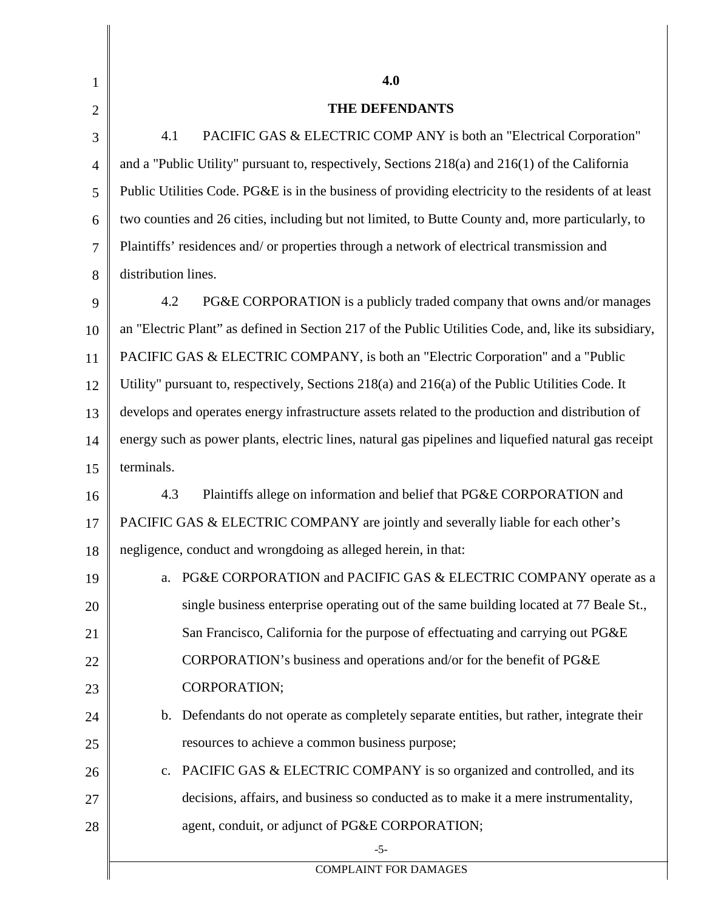| 1              | 4.0                                                                                                   |
|----------------|-------------------------------------------------------------------------------------------------------|
| $\overline{2}$ | THE DEFENDANTS                                                                                        |
| 3              | PACIFIC GAS & ELECTRIC COMP ANY is both an "Electrical Corporation"<br>4.1                            |
| $\overline{4}$ | and a "Public Utility" pursuant to, respectively, Sections 218(a) and 216(1) of the California        |
| 5              | Public Utilities Code. PG&E is in the business of providing electricity to the residents of at least  |
| 6              | two counties and 26 cities, including but not limited, to Butte County and, more particularly, to     |
| 7              | Plaintiffs' residences and/ or properties through a network of electrical transmission and            |
| 8              | distribution lines.                                                                                   |
| 9              | PG&E CORPORATION is a publicly traded company that owns and/or manages<br>4.2                         |
| 10             | an "Electric Plant" as defined in Section 217 of the Public Utilities Code, and, like its subsidiary, |
| 11             | PACIFIC GAS & ELECTRIC COMPANY, is both an "Electric Corporation" and a "Public                       |
| 12             | Utility" pursuant to, respectively, Sections 218(a) and 216(a) of the Public Utilities Code. It       |
| 13             | develops and operates energy infrastructure assets related to the production and distribution of      |
| 14             | energy such as power plants, electric lines, natural gas pipelines and liquefied natural gas receipt  |
| 15             | terminals.                                                                                            |
| 16             | Plaintiffs allege on information and belief that PG&E CORPORATION and<br>4.3                          |
| 17             | PACIFIC GAS & ELECTRIC COMPANY are jointly and severally liable for each other's                      |
| 18             | negligence, conduct and wrongdoing as alleged herein, in that:                                        |
| 19             | PG&E CORPORATION and PACIFIC GAS & ELECTRIC COMPANY operate as a<br>a.                                |
| 20             | single business enterprise operating out of the same building located at 77 Beale St.,                |
| 21             | San Francisco, California for the purpose of effectuating and carrying out PG&E                       |
| 22             | CORPORATION's business and operations and/or for the benefit of PG&E                                  |
| 23             | CORPORATION;                                                                                          |
| 24             | b. Defendants do not operate as completely separate entities, but rather, integrate their             |
| 25             | resources to achieve a common business purpose;                                                       |
| 26             | PACIFIC GAS & ELECTRIC COMPANY is so organized and controlled, and its<br>c.                          |
| 27             | decisions, affairs, and business so conducted as to make it a mere instrumentality,                   |
| 28             | agent, conduit, or adjunct of PG&E CORPORATION;                                                       |
|                | $-5-$<br><b>COMPLAINT FOR DAMAGES</b>                                                                 |
|                |                                                                                                       |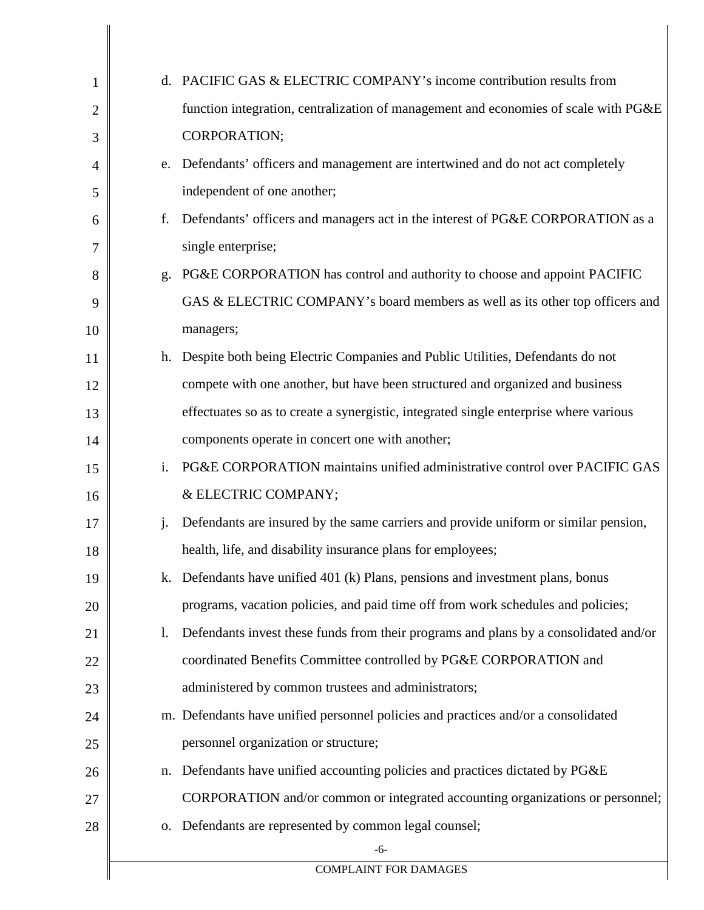| $\mathbf{1}$   |                | d. PACIFIC GAS & ELECTRIC COMPANY's income contribution results from                  |
|----------------|----------------|---------------------------------------------------------------------------------------|
| $\overline{2}$ |                | function integration, centralization of management and economies of scale with PG&E   |
| 3              |                | CORPORATION;                                                                          |
| 4              | e.             | Defendants' officers and management are intertwined and do not act completely         |
| 5              |                | independent of one another;                                                           |
| 6              | f.             | Defendants' officers and managers act in the interest of PG&E CORPORATION as a        |
| 7              |                | single enterprise;                                                                    |
| 8              | g.             | PG&E CORPORATION has control and authority to choose and appoint PACIFIC              |
| 9              |                | GAS & ELECTRIC COMPANY's board members as well as its other top officers and          |
| 10             |                | managers;                                                                             |
| 11             | h.             | Despite both being Electric Companies and Public Utilities, Defendants do not         |
| 12             |                | compete with one another, but have been structured and organized and business         |
| 13             |                | effectuates so as to create a synergistic, integrated single enterprise where various |
| 14             |                | components operate in concert one with another;                                       |
| 15             | i.             | PG&E CORPORATION maintains unified administrative control over PACIFIC GAS            |
| 16             |                | & ELECTRIC COMPANY;                                                                   |
| 17             | $\mathbf{j}$ . | Defendants are insured by the same carriers and provide uniform or similar pension,   |
| 18             |                | health, life, and disability insurance plans for employees;                           |
| 19             | k.             | Defendants have unified 401 (k) Plans, pensions and investment plans, bonus           |
| 20             |                | programs, vacation policies, and paid time off from work schedules and policies;      |
| 21             | 1.             | Defendants invest these funds from their programs and plans by a consolidated and/or  |
| 22             |                | coordinated Benefits Committee controlled by PG&E CORPORATION and                     |
| 23             |                | administered by common trustees and administrators;                                   |
| 24             |                | m. Defendants have unified personnel policies and practices and/or a consolidated     |
| 25             |                | personnel organization or structure;                                                  |
| 26             | n.             | Defendants have unified accounting policies and practices dictated by PG&E            |
| 27             |                | CORPORATION and/or common or integrated accounting organizations or personnel;        |
| 28             | 0.             | Defendants are represented by common legal counsel;                                   |
|                |                | $-6-$                                                                                 |
|                |                | <b>COMPLAINT FOR DAMAGES</b>                                                          |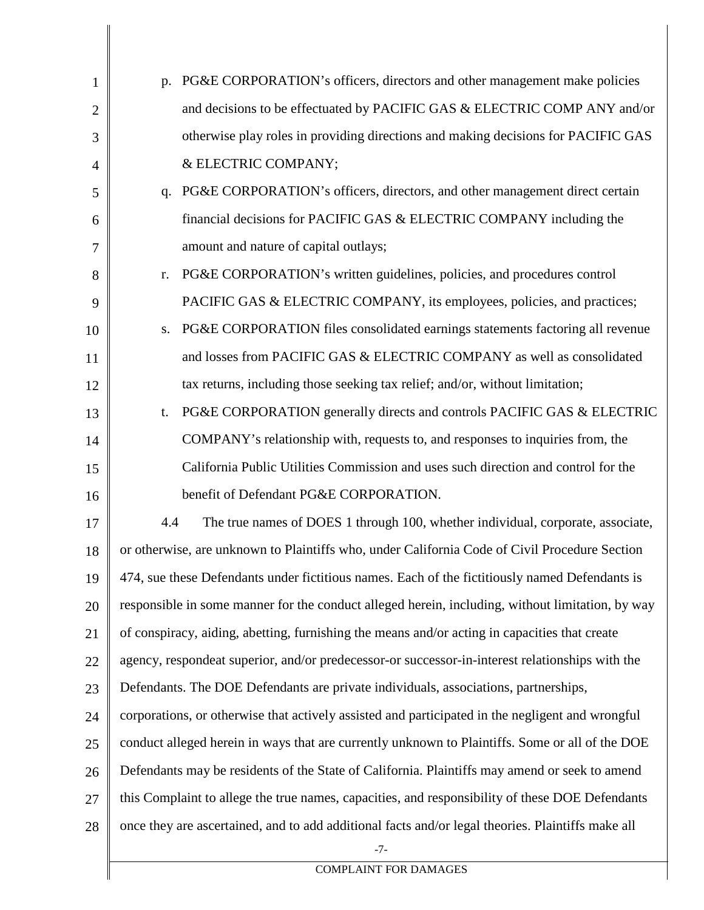| $\mathbf{1}$   | PG&E CORPORATION's officers, directors and other management make policies<br>p.                   |  |
|----------------|---------------------------------------------------------------------------------------------------|--|
| $\overline{2}$ | and decisions to be effectuated by PACIFIC GAS & ELECTRIC COMP ANY and/or                         |  |
| 3              | otherwise play roles in providing directions and making decisions for PACIFIC GAS                 |  |
| $\overline{4}$ | & ELECTRIC COMPANY;                                                                               |  |
| 5              | PG&E CORPORATION's officers, directors, and other management direct certain<br>q.                 |  |
| 6              | financial decisions for PACIFIC GAS & ELECTRIC COMPANY including the                              |  |
| 7              | amount and nature of capital outlays;                                                             |  |
| 8              | PG&E CORPORATION's written guidelines, policies, and procedures control<br>r.                     |  |
| 9              | PACIFIC GAS & ELECTRIC COMPANY, its employees, policies, and practices;                           |  |
| 10             | PG&E CORPORATION files consolidated earnings statements factoring all revenue<br>S.               |  |
| 11             | and losses from PACIFIC GAS & ELECTRIC COMPANY as well as consolidated                            |  |
| 12             | tax returns, including those seeking tax relief; and/or, without limitation;                      |  |
| 13             | PG&E CORPORATION generally directs and controls PACIFIC GAS & ELECTRIC<br>t.                      |  |
| 14             | COMPANY's relationship with, requests to, and responses to inquiries from, the                    |  |
| 15             | California Public Utilities Commission and uses such direction and control for the                |  |
| 16             | benefit of Defendant PG&E CORPORATION.                                                            |  |
| 17             | The true names of DOES 1 through 100, whether individual, corporate, associate,<br>4.4            |  |
| 18             | or otherwise, are unknown to Plaintiffs who, under California Code of Civil Procedure Section     |  |
| 19             | 474, sue these Defendants under fictitious names. Each of the fictitiously named Defendants is    |  |
| 20             | responsible in some manner for the conduct alleged herein, including, without limitation, by way  |  |
| 21             | of conspiracy, aiding, abetting, furnishing the means and/or acting in capacities that create     |  |
| 22             | agency, respondeat superior, and/or predecessor-or successor-in-interest relationships with the   |  |
| 23             | Defendants. The DOE Defendants are private individuals, associations, partnerships,               |  |
| 24             | corporations, or otherwise that actively assisted and participated in the negligent and wrongful  |  |
| 25             | conduct alleged herein in ways that are currently unknown to Plaintiffs. Some or all of the DOE   |  |
| 26             | Defendants may be residents of the State of California. Plaintiffs may amend or seek to amend     |  |
| 27             | this Complaint to allege the true names, capacities, and responsibility of these DOE Defendants   |  |
| 28             | once they are ascertained, and to add additional facts and/or legal theories. Plaintiffs make all |  |
|                | $-7-$                                                                                             |  |

COMPLAINT FOR DAMAGES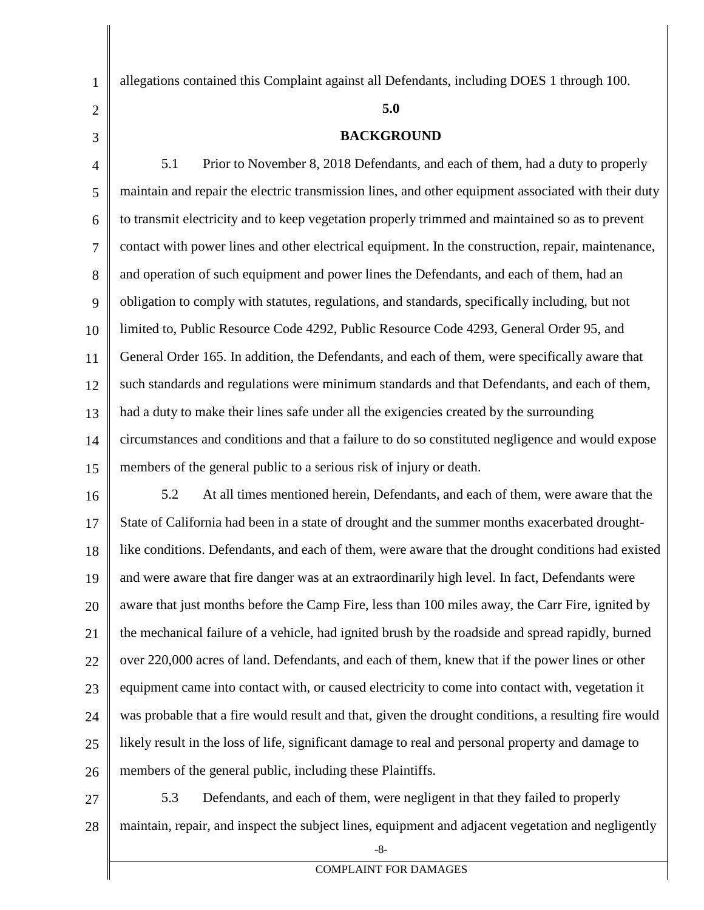allegations contained this Complaint against all Defendants, including DOES 1 through 100.

## **5.0**

## **BACKGROUND**

4 5 6 7 8 9 10 11 12 13 14 15 5.1 Prior to November 8, 2018 Defendants, and each of them, had a duty to properly maintain and repair the electric transmission lines, and other equipment associated with their duty to transmit electricity and to keep vegetation properly trimmed and maintained so as to prevent contact with power lines and other electrical equipment. In the construction, repair, maintenance, and operation of such equipment and power lines the Defendants, and each of them, had an obligation to comply with statutes, regulations, and standards, specifically including, but not limited to, Public Resource Code 4292, Public Resource Code 4293, General Order 95, and General Order 165. In addition, the Defendants, and each of them, were specifically aware that such standards and regulations were minimum standards and that Defendants, and each of them, had a duty to make their lines safe under all the exigencies created by the surrounding circumstances and conditions and that a failure to do so constituted negligence and would expose members of the general public to a serious risk of injury or death.

16 17 18 19 20 21 22 23 24 25 26 5.2 At all times mentioned herein, Defendants, and each of them, were aware that the State of California had been in a state of drought and the summer months exacerbated droughtlike conditions. Defendants, and each of them, were aware that the drought conditions had existed and were aware that fire danger was at an extraordinarily high level. In fact, Defendants were aware that just months before the Camp Fire, less than 100 miles away, the Carr Fire, ignited by the mechanical failure of a vehicle, had ignited brush by the roadside and spread rapidly, burned over 220,000 acres of land. Defendants, and each of them, knew that if the power lines or other equipment came into contact with, or caused electricity to come into contact with, vegetation it was probable that a fire would result and that, given the drought conditions, a resulting fire would likely result in the loss of life, significant damage to real and personal property and damage to members of the general public, including these Plaintiffs.

27 28 5.3 Defendants, and each of them, were negligent in that they failed to properly maintain, repair, and inspect the subject lines, equipment and adjacent vegetation and negligently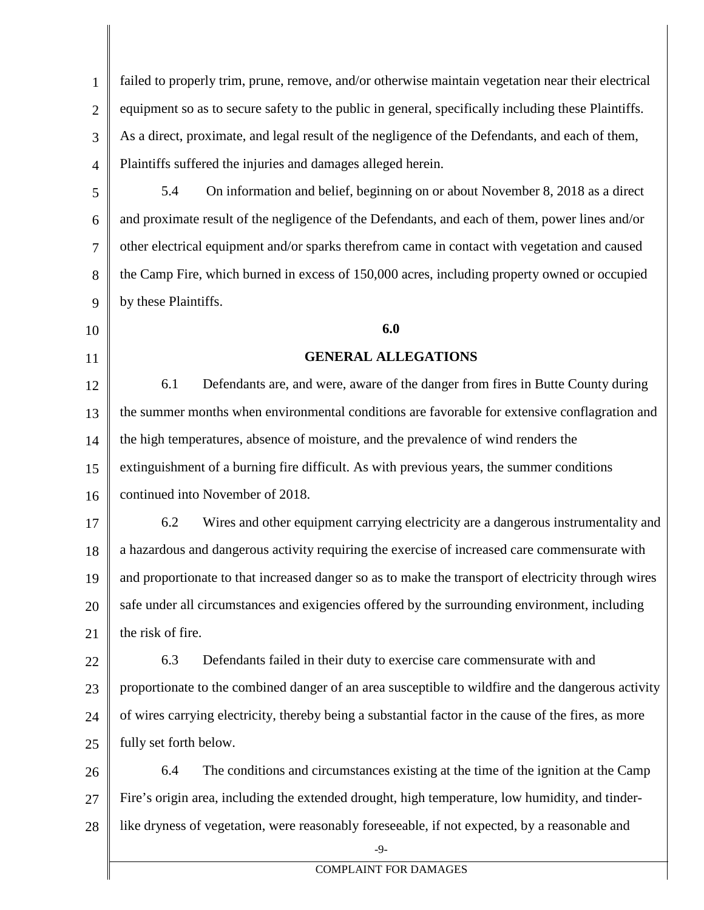1 2 3 4 failed to properly trim, prune, remove, and/or otherwise maintain vegetation near their electrical equipment so as to secure safety to the public in general, specifically including these Plaintiffs. As a direct, proximate, and legal result of the negligence of the Defendants, and each of them, Plaintiffs suffered the injuries and damages alleged herein.

5 6 7 8 9 5.4 On information and belief, beginning on or about November 8, 2018 as a direct and proximate result of the negligence of the Defendants, and each of them, power lines and/or other electrical equipment and/or sparks therefrom came in contact with vegetation and caused the Camp Fire, which burned in excess of 150,000 acres, including property owned or occupied by these Plaintiffs.

10 11

## **6.0**

## **GENERAL ALLEGATIONS**

12 13 14 15 16 6.1 Defendants are, and were, aware of the danger from fires in Butte County during the summer months when environmental conditions are favorable for extensive conflagration and the high temperatures, absence of moisture, and the prevalence of wind renders the extinguishment of a burning fire difficult. As with previous years, the summer conditions continued into November of 2018.

17 18 19 20 21 6.2 Wires and other equipment carrying electricity are a dangerous instrumentality and a hazardous and dangerous activity requiring the exercise of increased care commensurate with and proportionate to that increased danger so as to make the transport of electricity through wires safe under all circumstances and exigencies offered by the surrounding environment, including the risk of fire.

22 23 24 25 6.3 Defendants failed in their duty to exercise care commensurate with and proportionate to the combined danger of an area susceptible to wildfire and the dangerous activity of wires carrying electricity, thereby being a substantial factor in the cause of the fires, as more fully set forth below.

26 27 28 6.4 The conditions and circumstances existing at the time of the ignition at the Camp Fire's origin area, including the extended drought, high temperature, low humidity, and tinderlike dryness of vegetation, were reasonably foreseeable, if not expected, by a reasonable and

 $-9-$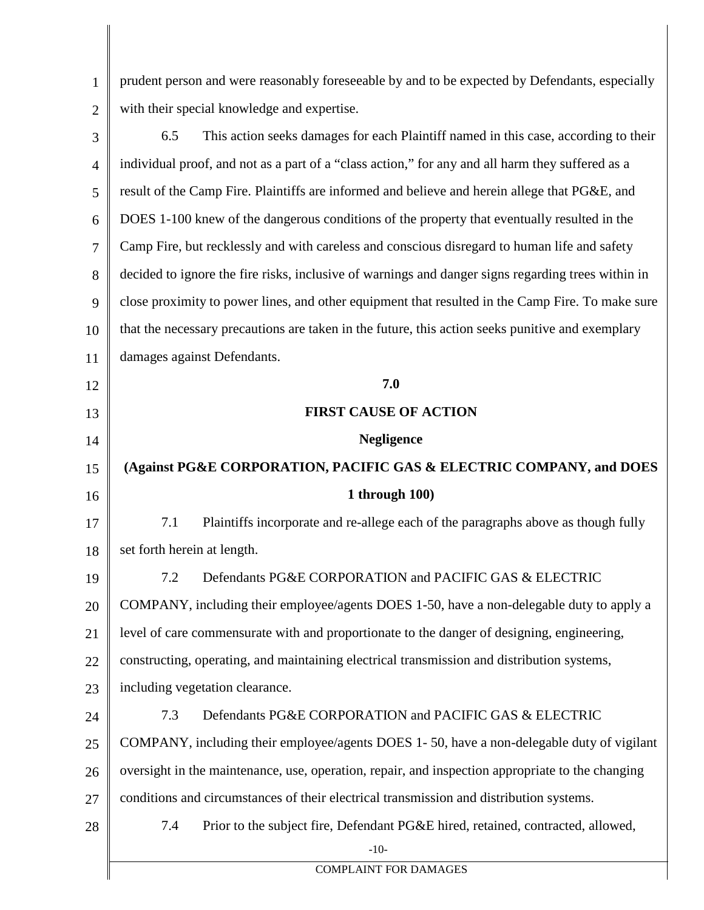1 2 prudent person and were reasonably foreseeable by and to be expected by Defendants, especially with their special knowledge and expertise.

| 3              | This action seeks damages for each Plaintiff named in this case, according to their<br>6.5         |
|----------------|----------------------------------------------------------------------------------------------------|
| $\overline{4}$ | individual proof, and not as a part of a "class action," for any and all harm they suffered as a   |
| 5              | result of the Camp Fire. Plaintiffs are informed and believe and herein allege that PG&E, and      |
| 6              | DOES 1-100 knew of the dangerous conditions of the property that eventually resulted in the        |
| 7              | Camp Fire, but recklessly and with careless and conscious disregard to human life and safety       |
| 8              | decided to ignore the fire risks, inclusive of warnings and danger signs regarding trees within in |
| 9              | close proximity to power lines, and other equipment that resulted in the Camp Fire. To make sure   |
| 10             | that the necessary precautions are taken in the future, this action seeks punitive and exemplary   |
| 11             | damages against Defendants.                                                                        |
| 12             | 7.0                                                                                                |
| 13             | <b>FIRST CAUSE OF ACTION</b>                                                                       |
| 14             | <b>Negligence</b>                                                                                  |
| 15             | (Against PG&E CORPORATION, PACIFIC GAS & ELECTRIC COMPANY, and DOES                                |
| 16             | 1 through $100$ )                                                                                  |
| 17             | 7.1<br>Plaintiffs incorporate and re-allege each of the paragraphs above as though fully           |
| 18             | set forth herein at length.                                                                        |
| 19             | Defendants PG&E CORPORATION and PACIFIC GAS & ELECTRIC<br>7.2                                      |
| 20             | COMPANY, including their employee/agents DOES 1-50, have a non-delegable duty to apply a           |
| 21             | level of care commensurate with and proportionate to the danger of designing, engineering,         |
| 22             | constructing, operating, and maintaining electrical transmission and distribution systems,         |
| 23             | including vegetation clearance.                                                                    |
| 24             | Defendants PG&E CORPORATION and PACIFIC GAS & ELECTRIC<br>7.3                                      |
| 25             | COMPANY, including their employee/agents DOES 1-50, have a non-delegable duty of vigilant          |
| 26             | oversight in the maintenance, use, operation, repair, and inspection appropriate to the changing   |
| 27             | conditions and circumstances of their electrical transmission and distribution systems.            |
| 28             | Prior to the subject fire, Defendant PG&E hired, retained, contracted, allowed,<br>7.4             |
|                | $-10-$                                                                                             |
|                | <b>COMPLAINT FOR DAMAGES</b>                                                                       |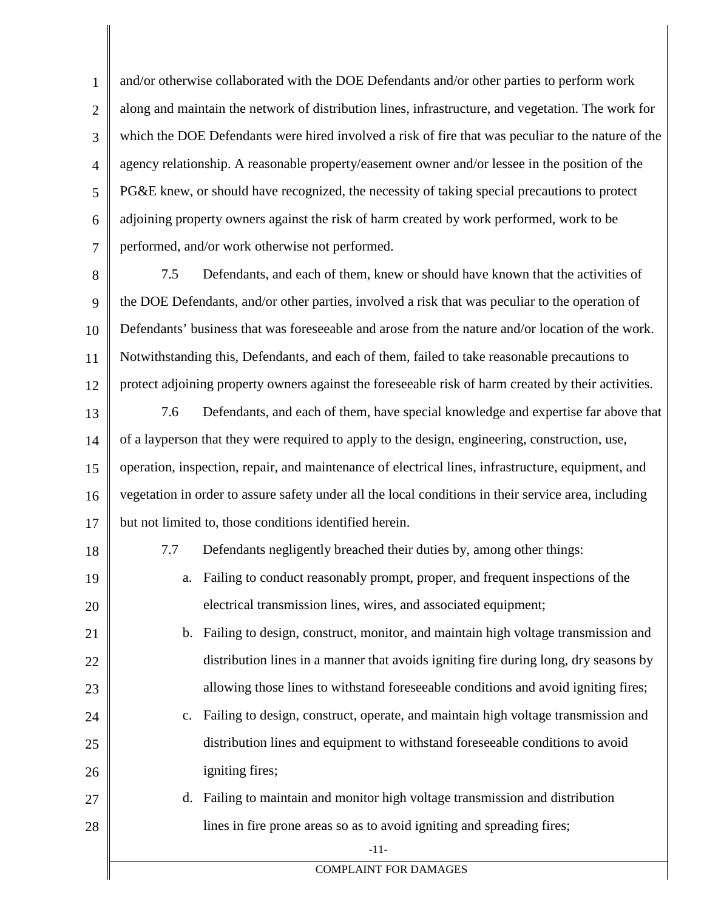1 2 3 4 5 6 7 and/or otherwise collaborated with the DOE Defendants and/or other parties to perform work along and maintain the network of distribution lines, infrastructure, and vegetation. The work for which the DOE Defendants were hired involved a risk of fire that was peculiar to the nature of the agency relationship. A reasonable property/easement owner and/or lessee in the position of the PG&E knew, or should have recognized, the necessity of taking special precautions to protect adjoining property owners against the risk of harm created by work performed, work to be performed, and/or work otherwise not performed.

- 8 9 10 11 12 7.5 Defendants, and each of them, knew or should have known that the activities of the DOE Defendants, and/or other parties, involved a risk that was peculiar to the operation of Defendants' business that was foreseeable and arose from the nature and/or location of the work. Notwithstanding this, Defendants, and each of them, failed to take reasonable precautions to protect adjoining property owners against the foreseeable risk of harm created by their activities.
- 13 14 15 16 17 7.6 Defendants, and each of them, have special knowledge and expertise far above that of a layperson that they were required to apply to the design, engineering, construction, use, operation, inspection, repair, and maintenance of electrical lines, infrastructure, equipment, and vegetation in order to assure safety under all the local conditions in their service area, including but not limited to, those conditions identified herein.
- 18

19

20

21

22

23

27

28

- 7.7 Defendants negligently breached their duties by, among other things:
- a. Failing to conduct reasonably prompt, proper, and frequent inspections of the electrical transmission lines, wires, and associated equipment;
	- b. Failing to design, construct, monitor, and maintain high voltage transmission and distribution lines in a manner that avoids igniting fire during long, dry seasons by allowing those lines to withstand foreseeable conditions and avoid igniting fires;
- 24 25 26 c. Failing to design, construct, operate, and maintain high voltage transmission and distribution lines and equipment to withstand foreseeable conditions to avoid igniting fires;
	- d. Failing to maintain and monitor high voltage transmission and distribution lines in fire prone areas so as to avoid igniting and spreading fires;

-11-

COMPLAINT FOR DAMAGES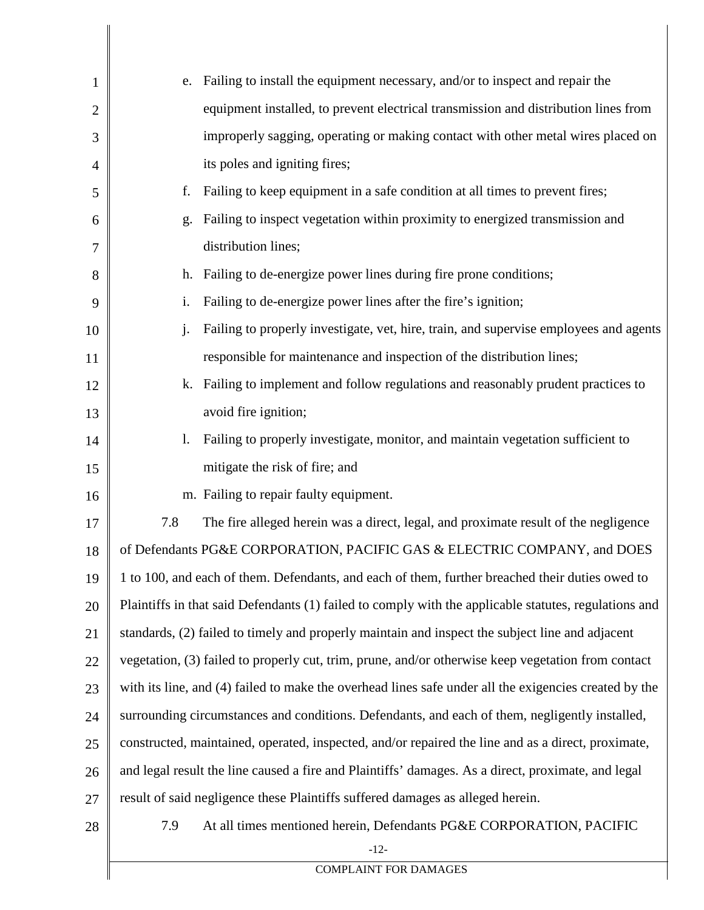| 1  | e.                                                                                             | Failing to install the equipment necessary, and/or to inspect and repair the                          |
|----|------------------------------------------------------------------------------------------------|-------------------------------------------------------------------------------------------------------|
| 2  |                                                                                                | equipment installed, to prevent electrical transmission and distribution lines from                   |
| 3  |                                                                                                | improperly sagging, operating or making contact with other metal wires placed on                      |
| 4  |                                                                                                | its poles and igniting fires;                                                                         |
| 5  | f.                                                                                             | Failing to keep equipment in a safe condition at all times to prevent fires;                          |
| 6  | g.                                                                                             | Failing to inspect vegetation within proximity to energized transmission and                          |
| 7  |                                                                                                | distribution lines;                                                                                   |
| 8  | h.                                                                                             | Failing to de-energize power lines during fire prone conditions;                                      |
| 9  | $\mathbf{i}$ .                                                                                 | Failing to de-energize power lines after the fire's ignition;                                         |
| 10 | $\mathbf{i}$ .                                                                                 | Failing to properly investigate, vet, hire, train, and supervise employees and agents                 |
| 11 |                                                                                                | responsible for maintenance and inspection of the distribution lines;                                 |
| 12 | k.                                                                                             | Failing to implement and follow regulations and reasonably prudent practices to                       |
| 13 |                                                                                                | avoid fire ignition;                                                                                  |
| 14 | 1.                                                                                             | Failing to properly investigate, monitor, and maintain vegetation sufficient to                       |
| 15 |                                                                                                | mitigate the risk of fire; and                                                                        |
| 16 |                                                                                                | m. Failing to repair faulty equipment.                                                                |
| 17 | 7.8                                                                                            | The fire alleged herein was a direct, legal, and proximate result of the negligence                   |
| 18 |                                                                                                | of Defendants PG&E CORPORATION, PACIFIC GAS & ELECTRIC COMPANY, and DOES                              |
| 19 |                                                                                                | 1 to 100, and each of them. Defendants, and each of them, further breached their duties owed to       |
| 20 |                                                                                                | Plaintiffs in that said Defendants (1) failed to comply with the applicable statutes, regulations and |
| 21 |                                                                                                | standards, (2) failed to timely and properly maintain and inspect the subject line and adjacent       |
| 22 |                                                                                                | vegetation, (3) failed to properly cut, trim, prune, and/or otherwise keep vegetation from contact    |
| 23 |                                                                                                | with its line, and (4) failed to make the overhead lines safe under all the exigencies created by the |
| 24 | surrounding circumstances and conditions. Defendants, and each of them, negligently installed, |                                                                                                       |
| 25 |                                                                                                | constructed, maintained, operated, inspected, and/or repaired the line and as a direct, proximate,    |
| 26 |                                                                                                | and legal result the line caused a fire and Plaintiffs' damages. As a direct, proximate, and legal    |
| 27 |                                                                                                | result of said negligence these Plaintiffs suffered damages as alleged herein.                        |
| 28 | 7.9                                                                                            | At all times mentioned herein, Defendants PG&E CORPORATION, PACIFIC                                   |
|    |                                                                                                | $-12-$                                                                                                |

COMPLAINT FOR DAMAGES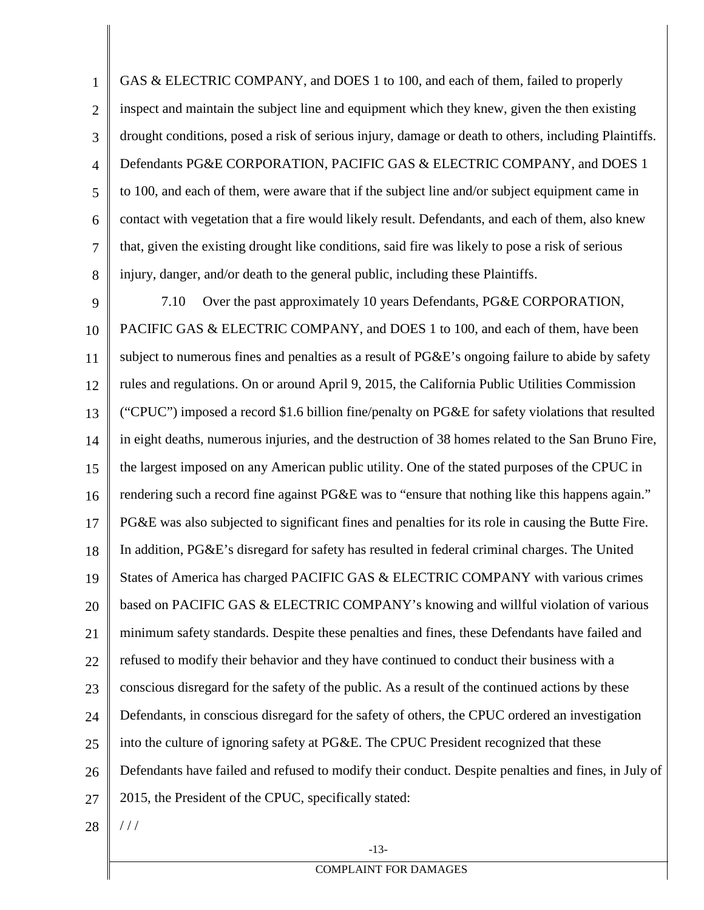1 2 3 4 5 6 7 8 GAS & ELECTRIC COMPANY, and DOES 1 to 100, and each of them, failed to properly inspect and maintain the subject line and equipment which they knew, given the then existing drought conditions, posed a risk of serious injury, damage or death to others, including Plaintiffs. Defendants PG&E CORPORATION, PACIFIC GAS & ELECTRIC COMPANY, and DOES 1 to 100, and each of them, were aware that if the subject line and/or subject equipment came in contact with vegetation that a fire would likely result. Defendants, and each of them, also knew that, given the existing drought like conditions, said fire was likely to pose a risk of serious injury, danger, and/or death to the general public, including these Plaintiffs.

9 10 11 12 13 14 15 16 17 18 19 20 21 22 23 24 25 26 27 7.10 Over the past approximately 10 years Defendants, PG&E CORPORATION, PACIFIC GAS & ELECTRIC COMPANY, and DOES 1 to 100, and each of them, have been subject to numerous fines and penalties as a result of PG&E's ongoing failure to abide by safety rules and regulations. On or around April 9, 2015, the California Public Utilities Commission ("CPUC") imposed a record \$1.6 billion fine/penalty on PG&E for safety violations that resulted in eight deaths, numerous injuries, and the destruction of 38 homes related to the San Bruno Fire, the largest imposed on any American public utility. One of the stated purposes of the CPUC in rendering such a record fine against PG&E was to "ensure that nothing like this happens again." PG&E was also subjected to significant fines and penalties for its role in causing the Butte Fire. In addition, PG&E's disregard for safety has resulted in federal criminal charges. The United States of America has charged PACIFIC GAS & ELECTRIC COMPANY with various crimes based on PACIFIC GAS & ELECTRIC COMPANY's knowing and willful violation of various minimum safety standards. Despite these penalties and fines, these Defendants have failed and refused to modify their behavior and they have continued to conduct their business with a conscious disregard for the safety of the public. As a result of the continued actions by these Defendants, in conscious disregard for the safety of others, the CPUC ordered an investigation into the culture of ignoring safety at PG&E. The CPUC President recognized that these Defendants have failed and refused to modify their conduct. Despite penalties and fines, in July of 2015, the President of the CPUC, specifically stated:

28

 $//$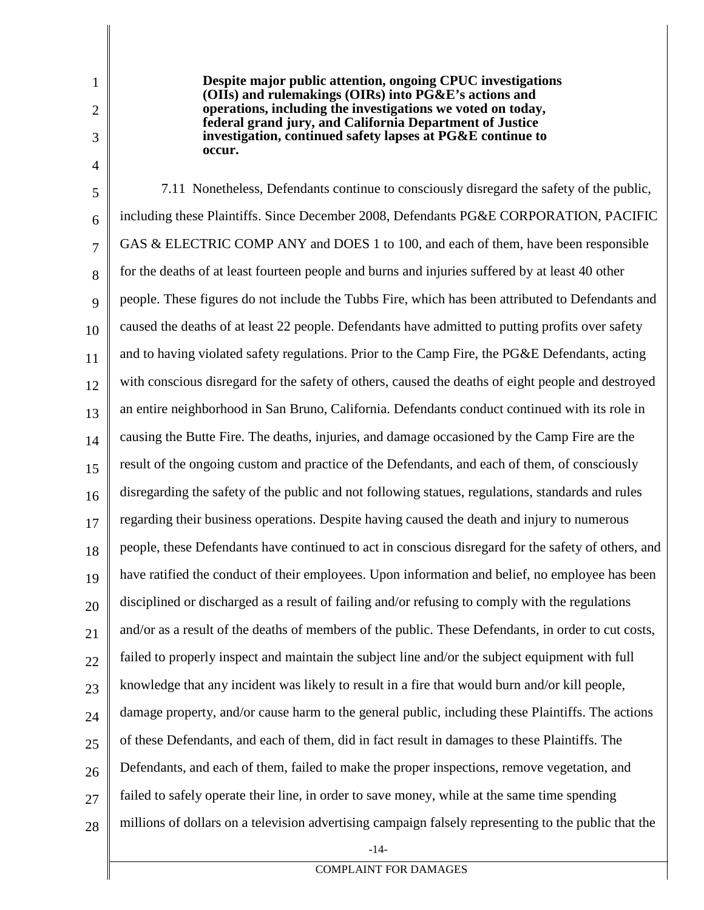2 3

4

1

**Despite major public attention, ongoing CPUC investigations (OIIs) and rulemakings (OIRs) into PG&E's actions and operations, including the investigations we voted on today, federal grand jury, and California Department of Justice investigation, continued safety lapses at PG&E continue to occur.**

5 6 7 8 9 10 11 12 13 14 15 16 17 18 19 20 21 22 23 24 25 26 27 28 7.11 Nonetheless, Defendants continue to consciously disregard the safety of the public, including these Plaintiffs. Since December 2008, Defendants PG&E CORPORATION, PACIFIC GAS & ELECTRIC COMP ANY and DOES 1 to 100, and each of them, have been responsible for the deaths of at least fourteen people and burns and injuries suffered by at least 40 other people. These figures do not include the Tubbs Fire, which has been attributed to Defendants and caused the deaths of at least 22 people. Defendants have admitted to putting profits over safety and to having violated safety regulations. Prior to the Camp Fire, the PG&E Defendants, acting with conscious disregard for the safety of others, caused the deaths of eight people and destroyed an entire neighborhood in San Bruno, California. Defendants conduct continued with its role in causing the Butte Fire. The deaths, injuries, and damage occasioned by the Camp Fire are the result of the ongoing custom and practice of the Defendants, and each of them, of consciously disregarding the safety of the public and not following statues, regulations, standards and rules regarding their business operations. Despite having caused the death and injury to numerous people, these Defendants have continued to act in conscious disregard for the safety of others, and have ratified the conduct of their employees. Upon information and belief, no employee has been disciplined or discharged as a result of failing and/or refusing to comply with the regulations and/or as a result of the deaths of members of the public. These Defendants, in order to cut costs, failed to properly inspect and maintain the subject line and/or the subject equipment with full knowledge that any incident was likely to result in a fire that would burn and/or kill people, damage property, and/or cause harm to the general public, including these Plaintiffs. The actions of these Defendants, and each of them, did in fact result in damages to these Plaintiffs. The Defendants, and each of them, failed to make the proper inspections, remove vegetation, and failed to safely operate their line, in order to save money, while at the same time spending millions of dollars on a television advertising campaign falsely representing to the public that the

-14-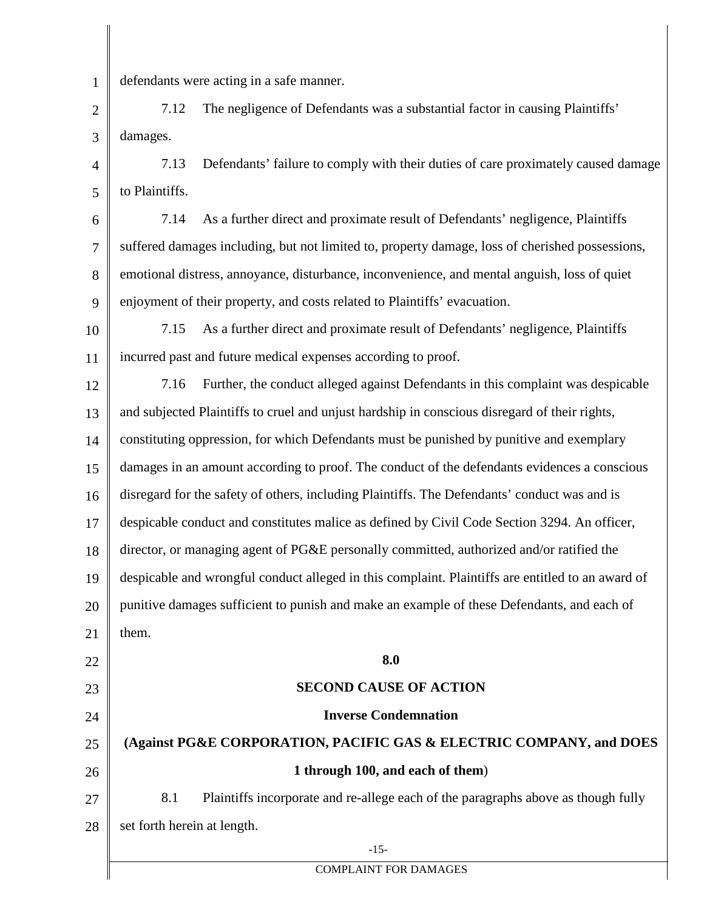1 defendants were acting in a safe manner.

2 3 7.12 The negligence of Defendants was a substantial factor in causing Plaintiffs' damages.

4 5 7.13 Defendants' failure to comply with their duties of care proximately caused damage to Plaintiffs.

6 7 8 9 7.14 As a further direct and proximate result of Defendants' negligence, Plaintiffs suffered damages including, but not limited to, property damage, loss of cherished possessions, emotional distress, annoyance, disturbance, inconvenience, and mental anguish, loss of quiet enjoyment of their property, and costs related to Plaintiffs' evacuation.

10 11 7.15 As a further direct and proximate result of Defendants' negligence, Plaintiffs incurred past and future medical expenses according to proof.

12 13 14 15 16 17 18 19 20 21 22 23 24 7.16 Further, the conduct alleged against Defendants in this complaint was despicable and subjected Plaintiffs to cruel and unjust hardship in conscious disregard of their rights, constituting oppression, for which Defendants must be punished by punitive and exemplary damages in an amount according to proof. The conduct of the defendants evidences a conscious disregard for the safety of others, including Plaintiffs. The Defendants' conduct was and is despicable conduct and constitutes malice as defined by Civil Code Section 3294. An officer, director, or managing agent of PG&E personally committed, authorized and/or ratified the despicable and wrongful conduct alleged in this complaint. Plaintiffs are entitled to an award of punitive damages sufficient to punish and make an example of these Defendants, and each of them. **8.0 SECOND CAUSE OF ACTION Inverse Condemnation**

25 26 27 **(Against PG&E CORPORATION, PACIFIC GAS & ELECTRIC COMPANY, and DOES 1 through 100, and each of them**) 8.1 Plaintiffs incorporate and re-allege each of the paragraphs above as though fully

28 set forth herein at length.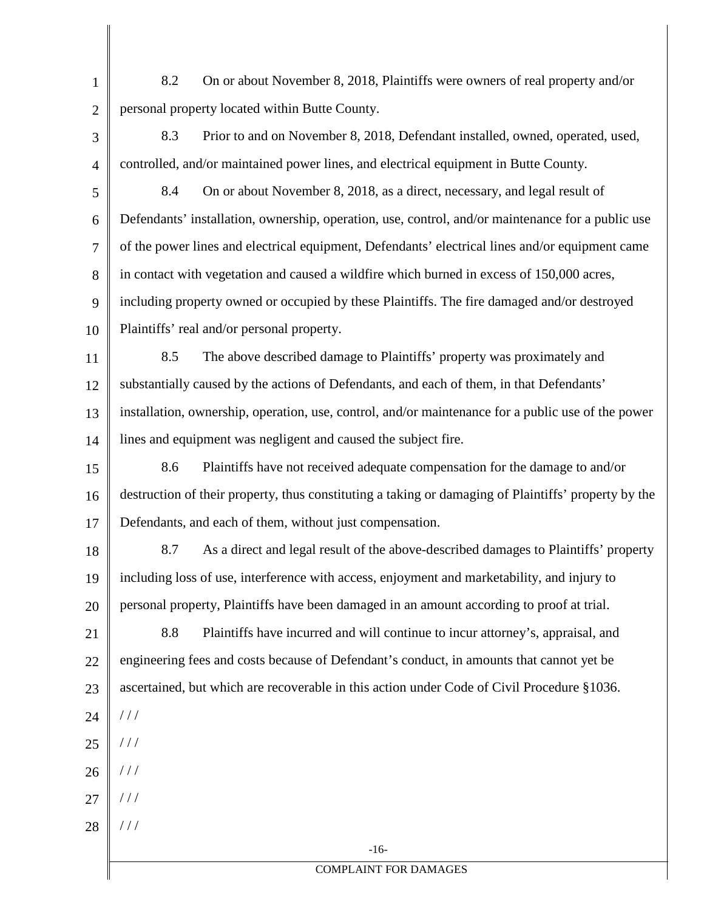1 2 8.2 On or about November 8, 2018, Plaintiffs were owners of real property and/or personal property located within Butte County.

3 4 8.3 Prior to and on November 8, 2018, Defendant installed, owned, operated, used, controlled, and/or maintained power lines, and electrical equipment in Butte County.

- 5 6 7 8 9 10 8.4 On or about November 8, 2018, as a direct, necessary, and legal result of Defendants' installation, ownership, operation, use, control, and/or maintenance for a public use of the power lines and electrical equipment, Defendants' electrical lines and/or equipment came in contact with vegetation and caused a wildfire which burned in excess of 150,000 acres, including property owned or occupied by these Plaintiffs. The fire damaged and/or destroyed Plaintiffs' real and/or personal property.
- 11 12 13 14 8.5 The above described damage to Plaintiffs' property was proximately and substantially caused by the actions of Defendants, and each of them, in that Defendants' installation, ownership, operation, use, control, and/or maintenance for a public use of the power lines and equipment was negligent and caused the subject fire.
- 15 16 17 8.6 Plaintiffs have not received adequate compensation for the damage to and/or destruction of their property, thus constituting a taking or damaging of Plaintiffs' property by the Defendants, and each of them, without just compensation.
- 18 19 20 8.7 As a direct and legal result of the above-described damages to Plaintiffs' property including loss of use, interference with access, enjoyment and marketability, and injury to personal property, Plaintiffs have been damaged in an amount according to proof at trial.
- 21 22 23 24 8.8 Plaintiffs have incurred and will continue to incur attorney's, appraisal, and engineering fees and costs because of Defendant's conduct, in amounts that cannot yet be ascertained, but which are recoverable in this action under Code of Civil Procedure §1036. / / /
- 25  $//$
- 26  $//$
- 27  $//$
- 28 / / /

-16-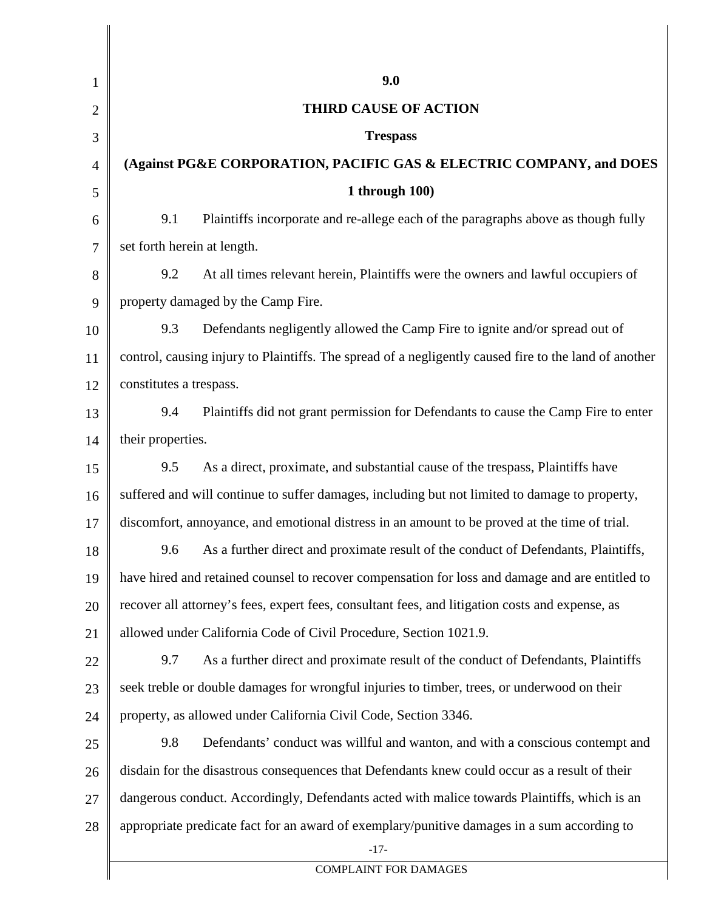| $\mathbf{1}$   | 9.0                                                                                                   |
|----------------|-------------------------------------------------------------------------------------------------------|
| $\overline{c}$ | <b>THIRD CAUSE OF ACTION</b>                                                                          |
| 3              | <b>Trespass</b>                                                                                       |
| 4              | (Against PG&E CORPORATION, PACIFIC GAS & ELECTRIC COMPANY, and DOES                                   |
| 5              | 1 through $100$ )                                                                                     |
| 6              | Plaintiffs incorporate and re-allege each of the paragraphs above as though fully<br>9.1              |
| 7              | set forth herein at length.                                                                           |
| 8              | At all times relevant herein, Plaintiffs were the owners and lawful occupiers of<br>9.2               |
| 9              | property damaged by the Camp Fire.                                                                    |
| 10             | Defendants negligently allowed the Camp Fire to ignite and/or spread out of<br>9.3                    |
| 11             | control, causing injury to Plaintiffs. The spread of a negligently caused fire to the land of another |
| 12             | constitutes a trespass.                                                                               |
| 13             | Plaintiffs did not grant permission for Defendants to cause the Camp Fire to enter<br>9.4             |
| 14             | their properties.                                                                                     |
| 15             | As a direct, proximate, and substantial cause of the trespass, Plaintiffs have<br>9.5                 |
| 16             | suffered and will continue to suffer damages, including but not limited to damage to property,        |
| 17             | discomfort, annoyance, and emotional distress in an amount to be proved at the time of trial.         |
| 18             | As a further direct and proximate result of the conduct of Defendants, Plaintiffs,<br>9.6             |
| 19             | have hired and retained counsel to recover compensation for loss and damage and are entitled to       |
| 20             | recover all attorney's fees, expert fees, consultant fees, and litigation costs and expense, as       |
| 21             | allowed under California Code of Civil Procedure, Section 1021.9.                                     |
| 22             | As a further direct and proximate result of the conduct of Defendants, Plaintiffs<br>9.7              |
| 23             | seek treble or double damages for wrongful injuries to timber, trees, or underwood on their           |
| 24             | property, as allowed under California Civil Code, Section 3346.                                       |
| 25             | Defendants' conduct was willful and wanton, and with a conscious contempt and<br>9.8                  |
| 26             | disdain for the disastrous consequences that Defendants knew could occur as a result of their         |
| 27             | dangerous conduct. Accordingly, Defendants acted with malice towards Plaintiffs, which is an          |
| 28             | appropriate predicate fact for an award of exemplary/punitive damages in a sum according to           |
|                | $-17-$                                                                                                |
|                | <b>COMPLAINT FOR DAMAGES</b>                                                                          |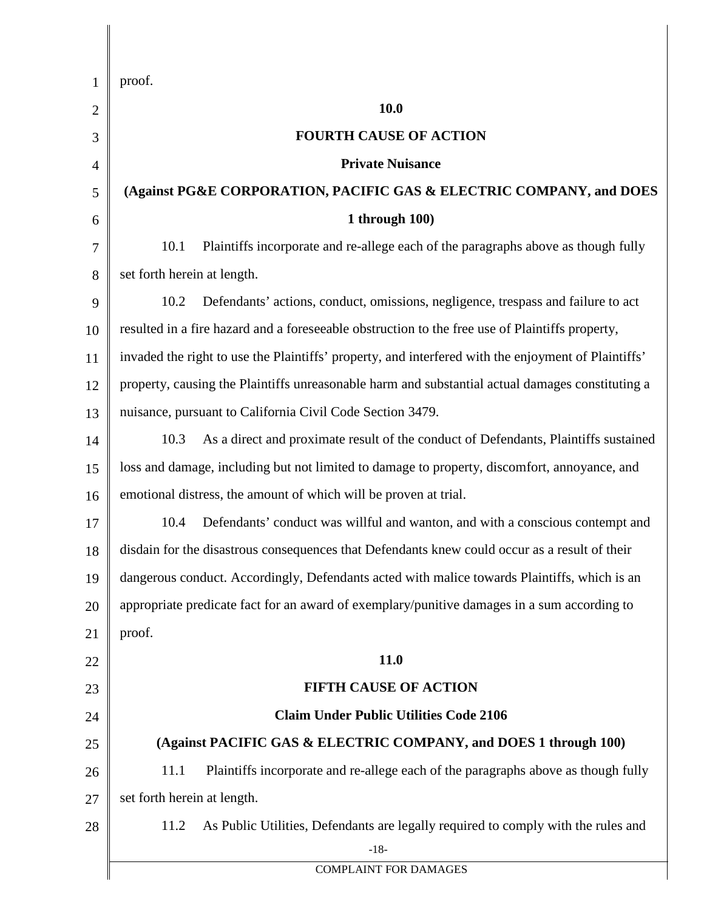| 1              | proof.                                                                                              |
|----------------|-----------------------------------------------------------------------------------------------------|
| $\overline{2}$ | 10.0                                                                                                |
| 3              | <b>FOURTH CAUSE OF ACTION</b>                                                                       |
| 4              | <b>Private Nuisance</b>                                                                             |
| 5              | (Against PG&E CORPORATION, PACIFIC GAS & ELECTRIC COMPANY, and DOES                                 |
| 6              | 1 through $100$ )                                                                                   |
| $\tau$         | Plaintiffs incorporate and re-allege each of the paragraphs above as though fully<br>10.1           |
| 8              | set forth herein at length.                                                                         |
| 9              | 10.2<br>Defendants' actions, conduct, omissions, negligence, trespass and failure to act            |
| 10             | resulted in a fire hazard and a foreseeable obstruction to the free use of Plaintiffs property,     |
| 11             | invaded the right to use the Plaintiffs' property, and interfered with the enjoyment of Plaintiffs' |
| 12             | property, causing the Plaintiffs unreasonable harm and substantial actual damages constituting a    |
| 13             | nuisance, pursuant to California Civil Code Section 3479.                                           |
| 14             | As a direct and proximate result of the conduct of Defendants, Plaintiffs sustained<br>10.3         |
| 15             | loss and damage, including but not limited to damage to property, discomfort, annoyance, and        |
| 16             | emotional distress, the amount of which will be proven at trial.                                    |
| 17             | Defendants' conduct was willful and wanton, and with a conscious contempt and<br>10.4               |
| 18             | disdain for the disastrous consequences that Defendants knew could occur as a result of their       |
| 19             | dangerous conduct. Accordingly, Defendants acted with malice towards Plaintiffs, which is an        |
| 20             | appropriate predicate fact for an award of exemplary/punitive damages in a sum according to         |
| 21             | proof.                                                                                              |
| 22             | 11.0                                                                                                |
| 23             | <b>FIFTH CAUSE OF ACTION</b>                                                                        |
| 24             | <b>Claim Under Public Utilities Code 2106</b>                                                       |
| 25             | (Against PACIFIC GAS & ELECTRIC COMPANY, and DOES 1 through 100)                                    |
| 26             | Plaintiffs incorporate and re-allege each of the paragraphs above as though fully<br>11.1           |
| 27             | set forth herein at length.                                                                         |
| 28             | 11.2<br>As Public Utilities, Defendants are legally required to comply with the rules and<br>$-18-$ |
|                | <b>COMPLAINT FOR DAMAGES</b>                                                                        |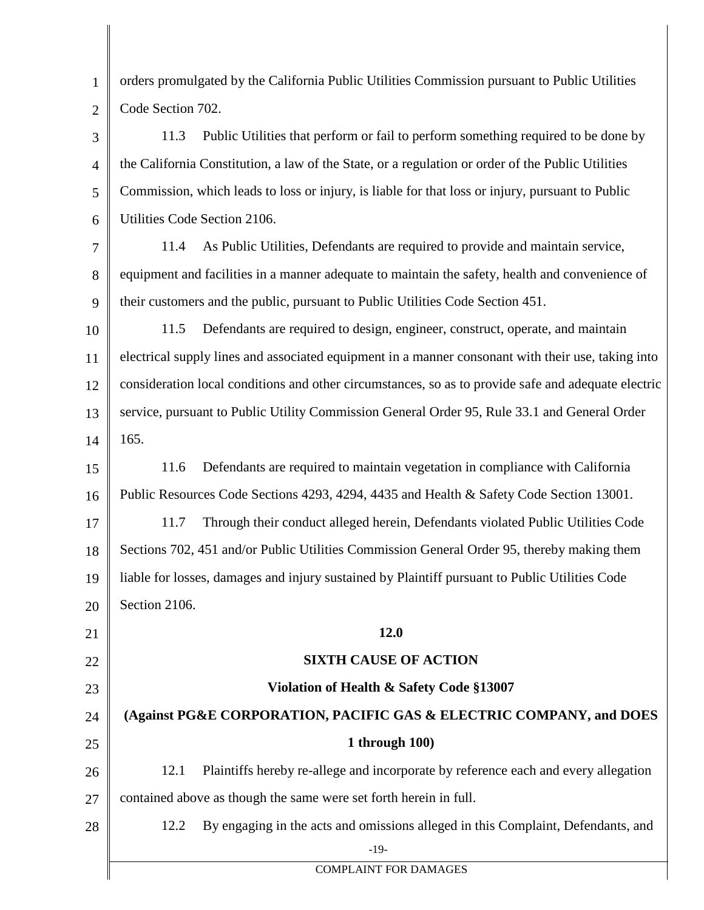| $\mathbf{1}$   | orders promulgated by the California Public Utilities Commission pursuant to Public Utilities       |  |
|----------------|-----------------------------------------------------------------------------------------------------|--|
| $\overline{2}$ | Code Section 702.                                                                                   |  |
| 3              | Public Utilities that perform or fail to perform something required to be done by<br>11.3           |  |
| $\overline{4}$ | the California Constitution, a law of the State, or a regulation or order of the Public Utilities   |  |
| 5              | Commission, which leads to loss or injury, is liable for that loss or injury, pursuant to Public    |  |
| 6              | Utilities Code Section 2106.                                                                        |  |
| 7              | As Public Utilities, Defendants are required to provide and maintain service,<br>11.4               |  |
| 8              | equipment and facilities in a manner adequate to maintain the safety, health and convenience of     |  |
| 9              | their customers and the public, pursuant to Public Utilities Code Section 451.                      |  |
| 10             | Defendants are required to design, engineer, construct, operate, and maintain<br>11.5               |  |
| 11             | electrical supply lines and associated equipment in a manner consonant with their use, taking into  |  |
| 12             | consideration local conditions and other circumstances, so as to provide safe and adequate electric |  |
| 13             | service, pursuant to Public Utility Commission General Order 95, Rule 33.1 and General Order        |  |
| 14             | 165.                                                                                                |  |
| 15             | Defendants are required to maintain vegetation in compliance with California<br>11.6                |  |
| 16             | Public Resources Code Sections 4293, 4294, 4435 and Health & Safety Code Section 13001.             |  |
| 17             | Through their conduct alleged herein, Defendants violated Public Utilities Code<br>11.7             |  |
| 18             | Sections 702, 451 and/or Public Utilities Commission General Order 95, thereby making them          |  |
| 19             | liable for losses, damages and injury sustained by Plaintiff pursuant to Public Utilities Code      |  |
| 20             | Section 2106.                                                                                       |  |
| 21             | 12.0                                                                                                |  |
| 22             | <b>SIXTH CAUSE OF ACTION</b>                                                                        |  |
| 23             | Violation of Health & Safety Code §13007                                                            |  |
| 24             | (Against PG&E CORPORATION, PACIFIC GAS & ELECTRIC COMPANY, and DOES                                 |  |
| 25             | 1 through $100$ )                                                                                   |  |
| 26             | Plaintiffs hereby re-allege and incorporate by reference each and every allegation<br>12.1          |  |
| 27             | contained above as though the same were set forth herein in full.                                   |  |
| 28             | By engaging in the acts and omissions alleged in this Complaint, Defendants, and<br>12.2            |  |
|                | $-19-$                                                                                              |  |
|                | <b>COMPLAINT FOR DAMAGES</b>                                                                        |  |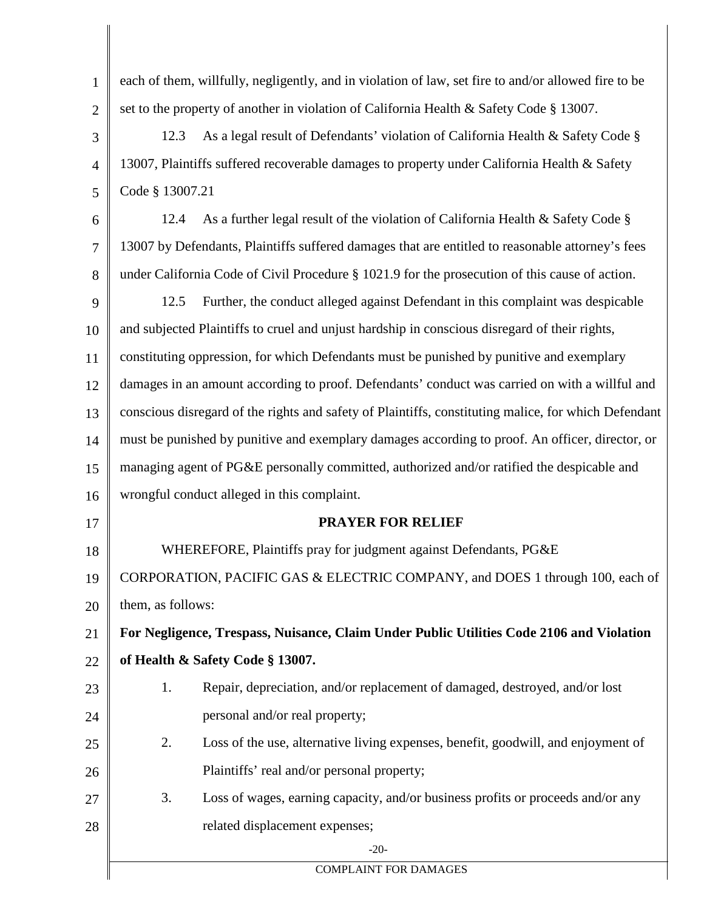1 2 3 4 5 6 7 8 9 10 11 12 13 14 15 16 17 18 19 20 21 22 23 24 25 26 27 28 -20- COMPLAINT FOR DAMAGES each of them, willfully, negligently, and in violation of law, set fire to and/or allowed fire to be set to the property of another in violation of California Health & Safety Code § 13007. 12.3 As a legal result of Defendants' violation of California Health & Safety Code § 13007, Plaintiffs suffered recoverable damages to property under California Health & Safety Code § 13007.21 12.4 As a further legal result of the violation of California Health & Safety Code § 13007 by Defendants, Plaintiffs suffered damages that are entitled to reasonable attorney's fees under California Code of Civil Procedure § 1021.9 for the prosecution of this cause of action. 12.5 Further, the conduct alleged against Defendant in this complaint was despicable and subjected Plaintiffs to cruel and unjust hardship in conscious disregard of their rights, constituting oppression, for which Defendants must be punished by punitive and exemplary damages in an amount according to proof. Defendants' conduct was carried on with a willful and conscious disregard of the rights and safety of Plaintiffs, constituting malice, for which Defendant must be punished by punitive and exemplary damages according to proof. An officer, director, or managing agent of PG&E personally committed, authorized and/or ratified the despicable and wrongful conduct alleged in this complaint. **PRAYER FOR RELIEF** WHEREFORE, Plaintiffs pray for judgment against Defendants, PG&E CORPORATION, PACIFIC GAS & ELECTRIC COMPANY, and DOES 1 through 100, each of them, as follows: **For Negligence, Trespass, Nuisance, Claim Under Public Utilities Code 2106 and Violation of Health & Safety Code § 13007.** 1. Repair, depreciation, and/or replacement of damaged, destroyed, and/or lost personal and/or real property; 2. Loss of the use, alternative living expenses, benefit, goodwill, and enjoyment of Plaintiffs' real and/or personal property; 3. Loss of wages, earning capacity, and/or business profits or proceeds and/or any related displacement expenses;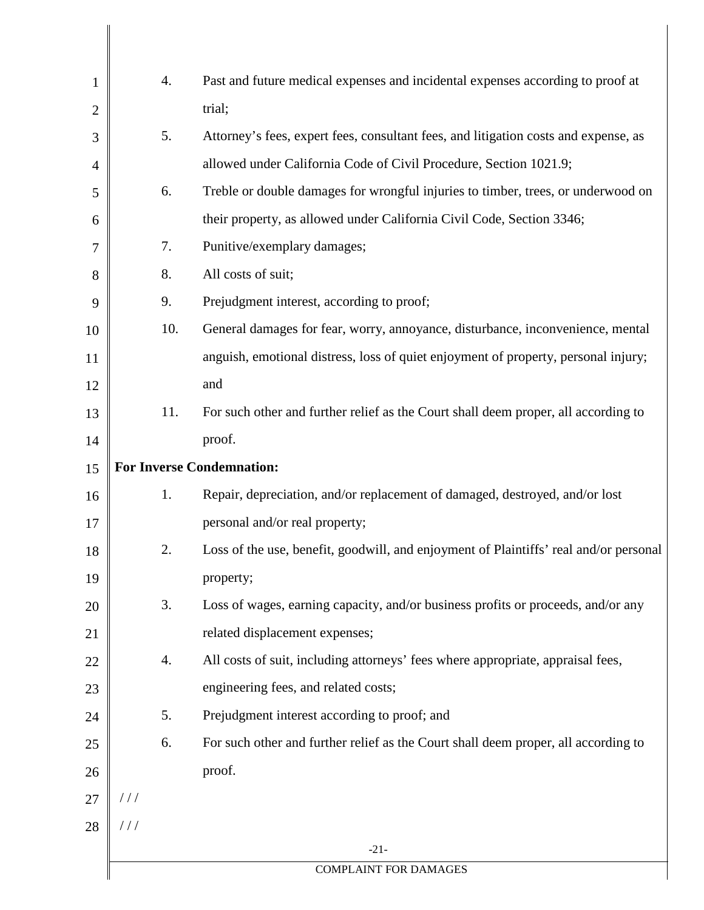| 1              | 4.                                                                                     | Past and future medical expenses and incidental expenses according to proof at        |  |  |  |
|----------------|----------------------------------------------------------------------------------------|---------------------------------------------------------------------------------------|--|--|--|
| $\overline{2}$ |                                                                                        | trial;                                                                                |  |  |  |
| 3              | 5.                                                                                     | Attorney's fees, expert fees, consultant fees, and litigation costs and expense, as   |  |  |  |
| $\overline{4}$ |                                                                                        | allowed under California Code of Civil Procedure, Section 1021.9;                     |  |  |  |
| 5              | Treble or double damages for wrongful injuries to timber, trees, or underwood on<br>6. |                                                                                       |  |  |  |
| 6              | their property, as allowed under California Civil Code, Section 3346;                  |                                                                                       |  |  |  |
| 7              | 7.<br>Punitive/exemplary damages;                                                      |                                                                                       |  |  |  |
| 8              | All costs of suit;<br>8.                                                               |                                                                                       |  |  |  |
| 9              | 9.                                                                                     | Prejudgment interest, according to proof;                                             |  |  |  |
| 10             | 10.                                                                                    | General damages for fear, worry, annoyance, disturbance, inconvenience, mental        |  |  |  |
| 11             |                                                                                        | anguish, emotional distress, loss of quiet enjoyment of property, personal injury;    |  |  |  |
| 12             |                                                                                        | and                                                                                   |  |  |  |
| 13             | 11.                                                                                    | For such other and further relief as the Court shall deem proper, all according to    |  |  |  |
| 14             |                                                                                        | proof.                                                                                |  |  |  |
| 15             | <b>For Inverse Condemnation:</b>                                                       |                                                                                       |  |  |  |
| 16             | 1.                                                                                     | Repair, depreciation, and/or replacement of damaged, destroyed, and/or lost           |  |  |  |
| 17             |                                                                                        | personal and/or real property;                                                        |  |  |  |
| 18             | 2.                                                                                     | Loss of the use, benefit, goodwill, and enjoyment of Plaintiffs' real and/or personal |  |  |  |
| 19             |                                                                                        | property;                                                                             |  |  |  |
| 20             | 3.                                                                                     | Loss of wages, earning capacity, and/or business profits or proceeds, and/or any      |  |  |  |
| 21             |                                                                                        | related displacement expenses;                                                        |  |  |  |
| 22             | 4.                                                                                     | All costs of suit, including attorneys' fees where appropriate, appraisal fees,       |  |  |  |
| 23             |                                                                                        | engineering fees, and related costs;                                                  |  |  |  |
| 24             | 5.                                                                                     | Prejudgment interest according to proof; and                                          |  |  |  |
| 25             | 6.                                                                                     | For such other and further relief as the Court shall deem proper, all according to    |  |  |  |
| 26             |                                                                                        | proof.                                                                                |  |  |  |
| 27             | //                                                                                     |                                                                                       |  |  |  |
| 28             | 111                                                                                    |                                                                                       |  |  |  |
|                |                                                                                        | $-21-$                                                                                |  |  |  |
|                | <b>COMPLAINT FOR DAMAGES</b>                                                           |                                                                                       |  |  |  |